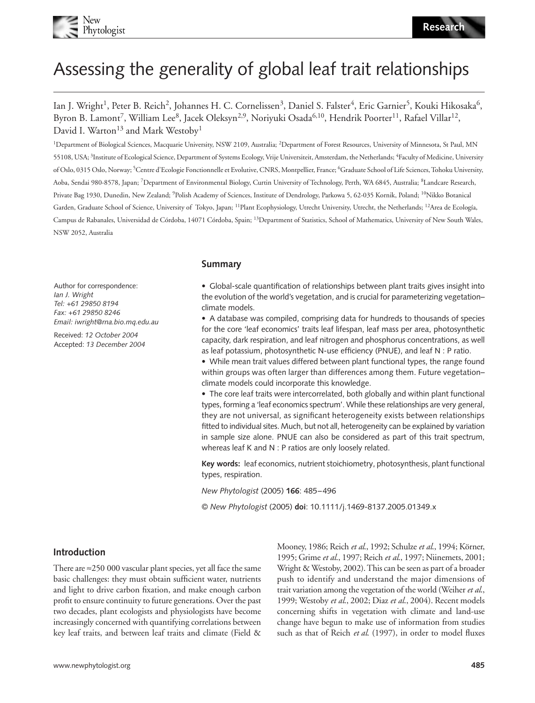# Assessing the generality of global leaf trait relationships

Ian J. Wright<sup>1</sup>, Peter B. Reich<sup>2</sup>, Johannes H. C. Cornelissen<sup>3</sup>, Daniel S. Falster<sup>4</sup>, Eric Garnier<sup>5</sup>, Kouki Hikosaka<sup>6</sup>, Byron B. Lamont<sup>7</sup>, William Lee<sup>8</sup>, Jacek Oleksyn<sup>2,9</sup>, Noriyuki Osada<sup>6,10</sup>, Hendrik Poorter<sup>11</sup>, Rafael Villar<sup>12</sup>, David I. Warton<sup>13</sup> and Mark Westoby<sup>1</sup>

<sup>1</sup>Department of Biological Sciences, Macquarie University, NSW 2109, Australia; <sup>2</sup>Department of Forest Resources, University of Minnesota, St Paul, MN 55108, USA; 3 Institute of Ecological Science, Department of Systems Ecology, Vrije Universiteit, Amsterdam, the Netherlands; 4 Faculty of Medicine, University of Oslo, 0315 Oslo, Norway; <sup>5</sup>Centre d'Ecologie Fonctionnelle et Evolutive, CNRS, Montpellier, France; <sup>6</sup>Graduate School of Life Sciences, Tohoku University, Aoba, Sendai 980-8578, Japan; <sup>7</sup>Department of Environmental Biology, Curtin University of Technology, Perth, WA 6845, Australia; <sup>8</sup>Landcare Research, Private Bag 1930, Dunedin, New Zealand; <sup>9</sup>Polish Academy of Sciences, Institute of Dendrology, Parkowa 5, 62-035 Kornik, Poland; <sup>10</sup>Nikko Botanical Garden, Graduate School of Science, University of Tokyo, Japan; 11Plant Ecophysiology, Utrecht University, Utrecht, the Netherlands; 12Area de Ecología, Campus de Rabanales, Universidad de Córdoba, 14071 Córdoba, Spain; 13Department of Statistics, School of Mathematics, University of New South Wales, NSW 2052, Australia

## **Summary**

Author for correspondence: *Ian J. Wright Tel: +61 29850 8194 Fax: +61 29850 8246 Email: iwright@rna.bio.mq.edu.au*

Received: *12 October 2004* Accepted: *13 December 2004* **•** Global-scale quantification of relationships between plant traits gives insight into the evolution of the world's vegetation, and is crucial for parameterizing vegetation– climate models.

**•** A database was compiled, comprising data for hundreds to thousands of species for the core 'leaf economics' traits leaf lifespan, leaf mass per area, photosynthetic capacity, dark respiration, and leaf nitrogen and phosphorus concentrations, as well as leaf potassium, photosynthetic N-use efficiency (PNUE), and leaf N : P ratio.

**•** While mean trait values differed between plant functional types, the range found within groups was often larger than differences among them. Future vegetation– climate models could incorporate this knowledge.

**•** The core leaf traits were intercorrelated, both globally and within plant functional types, forming a 'leaf economics spectrum'. While these relationships are very general, they are not universal, as significant heterogeneity exists between relationships fitted to individual sites. Much, but not all, heterogeneity can be explained by variation in sample size alone. PNUE can also be considered as part of this trait spectrum, whereas leaf K and N : P ratios are only loosely related.

**Key words:** leaf economics, nutrient stoichiometry, photosynthesis, plant functional types, respiration.

*New Phytologist* (2005) **166**: 485–496

© *New Phytologist* (2005) **doi**: 10.1111/j.1469-8137.2005.01349.x

## **Introduction**

There are ≈250 000 vascular plant species, yet all face the same basic challenges: they must obtain sufficient water, nutrients and light to drive carbon fixation, and make enough carbon profit to ensure continuity to future generations. Over the past two decades, plant ecologists and physiologists have become increasingly concerned with quantifying correlations between key leaf traits, and between leaf traits and climate (Field & Mooney, 1986; Reich *et al*., 1992; Schulze *et al*., 1994; Körner, 1995; Grime *et al*., 1997; Reich *et al*., 1997; Niinemets, 2001; Wright & Westoby, 2002). This can be seen as part of a broader push to identify and understand the major dimensions of trait variation among the vegetation of the world (Weiher *et al*., 1999; Westoby *et al*., 2002; Diaz *et al*., 2004). Recent models concerning shifts in vegetation with climate and land-use change have begun to make use of information from studies such as that of Reich *et al*. (1997), in order to model fluxes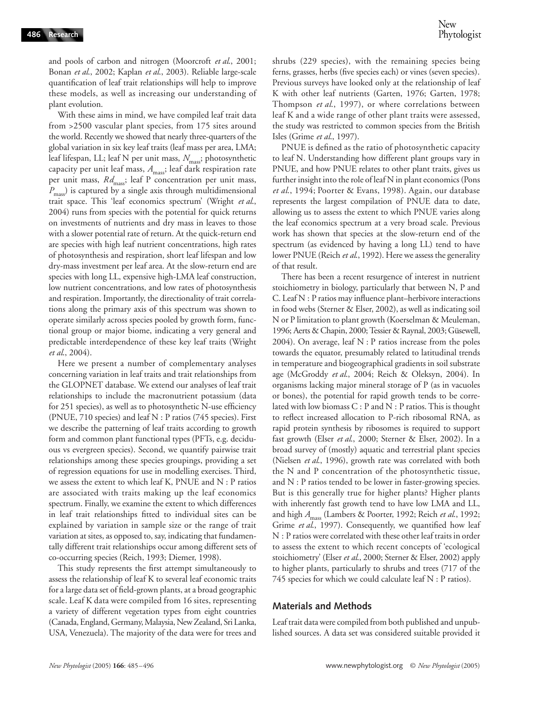and pools of carbon and nitrogen (Moorcroft *et al*., 2001; Bonan *et al*., 2002; Kaplan *et al*., 2003). Reliable large-scale quantification of leaf trait relationships will help to improve these models, as well as increasing our understanding of plant evolution.

With these aims in mind, we have compiled leaf trait data from >2500 vascular plant species, from 175 sites around the world. Recently we showed that nearly three-quarters of the global variation in six key leaf traits (leaf mass per area, LMA; leaf lifespan, LL; leaf N per unit mass,  $N_{\text{mass}}$ ; photosynthetic capacity per unit leaf mass, *A*mass; leaf dark respiration rate per unit mass, *Rd*<sub>mass</sub>; leaf P concentration per unit mass, *P*mass) is captured by a single axis through multidimensional trait space. This 'leaf economics spectrum' (Wright *et al*., 2004) runs from species with the potential for quick returns on investments of nutrients and dry mass in leaves to those with a slower potential rate of return. At the quick-return end are species with high leaf nutrient concentrations, high rates of photosynthesis and respiration, short leaf lifespan and low dry-mass investment per leaf area. At the slow-return end are species with long LL, expensive high-LMA leaf construction, low nutrient concentrations, and low rates of photosynthesis and respiration. Importantly, the directionality of trait correlations along the primary axis of this spectrum was shown to operate similarly across species pooled by growth form, functional group or major biome, indicating a very general and predictable interdependence of these key leaf traits (Wright *et al*., 2004).

Here we present a number of complementary analyses concerning variation in leaf traits and trait relationships from the GLOPNET database. We extend our analyses of leaf trait relationships to include the macronutrient potassium (data for 251 species), as well as to photosynthetic N-use efficiency (PNUE, 710 species) and leaf N : P ratios (745 species). First we describe the patterning of leaf traits according to growth form and common plant functional types (PFTs, e.g. deciduous vs evergreen species). Second, we quantify pairwise trait relationships among these species groupings, providing a set of regression equations for use in modelling exercises. Third, we assess the extent to which leaf K, PNUE and N : P ratios are associated with traits making up the leaf economics spectrum. Finally, we examine the extent to which differences in leaf trait relationships fitted to individual sites can be explained by variation in sample size or the range of trait variation at sites, as opposed to, say, indicating that fundamentally different trait relationships occur among different sets of co-occurring species (Reich, 1993; Diemer, 1998).

This study represents the first attempt simultaneously to assess the relationship of leaf K to several leaf economic traits for a large data set of field-grown plants, at a broad geographic scale. Leaf K data were compiled from 16 sites, representing a variety of different vegetation types from eight countries (Canada, England, Germany, Malaysia, New Zealand, Sri Lanka, USA, Venezuela). The majority of the data were for trees and shrubs (229 species), with the remaining species being ferns, grasses, herbs (five species each) or vines (seven species). Previous surveys have looked only at the relationship of leaf K with other leaf nutrients (Garten, 1976; Garten, 1978; Thompson *et al*., 1997), or where correlations between leaf K and a wide range of other plant traits were assessed, the study was restricted to common species from the British Isles (Grime *et al*., 1997).

PNUE is defined as the ratio of photosynthetic capacity to leaf N. Understanding how different plant groups vary in PNUE, and how PNUE relates to other plant traits, gives us further insight into the role of leaf N in plant economics (Pons *et al*., 1994; Poorter & Evans, 1998). Again, our database represents the largest compilation of PNUE data to date, allowing us to assess the extent to which PNUE varies along the leaf economics spectrum at a very broad scale. Previous work has shown that species at the slow-return end of the spectrum (as evidenced by having a long LL) tend to have lower PNUE (Reich *et al*., 1992). Here we assess the generality of that result.

There has been a recent resurgence of interest in nutrient stoichiometry in biology, particularly that between N, P and C. Leaf N : P ratios may influence plant–herbivore interactions in food webs (Sterner & Elser, 2002), as well as indicating soil N or P limitation to plant growth (Koerselman & Meuleman, 1996; Aerts & Chapin, 2000; Tessier & Raynal, 2003; Güsewell, 2004). On average, leaf N : P ratios increase from the poles towards the equator, presumably related to latitudinal trends in temperature and biogeographical gradients in soil substrate age (McGroddy *et al*., 2004; Reich & Oleksyn, 2004). In organisms lacking major mineral storage of P (as in vacuoles or bones), the potential for rapid growth tends to be correlated with low biomass C : P and N : P ratios. This is thought to reflect increased allocation to P-rich ribosomal RNA, as rapid protein synthesis by ribosomes is required to support fast growth (Elser *et al*., 2000; Sterner & Elser, 2002). In a broad survey of (mostly) aquatic and terrestrial plant species (Nielsen *et al*., 1996), growth rate was correlated with both the N and P concentration of the photosynthetic tissue, and N : P ratios tended to be lower in faster-growing species. But is this generally true for higher plants? Higher plants with inherently fast growth tend to have low LMA and LL, and high *A*mass (Lambers & Poorter, 1992; Reich *et al*., 1992; Grime et al., 1997). Consequently, we quantified how leaf N : P ratios were correlated with these other leaf traits in order to assess the extent to which recent concepts of 'ecological stoichiometry' (Elser *et al*., 2000; Sterner & Elser, 2002) apply to higher plants, particularly to shrubs and trees (717 of the 745 species for which we could calculate leaf N : P ratios).

## **Materials and Methods**

Leaf trait data were compiled from both published and unpublished sources. A data set was considered suitable provided it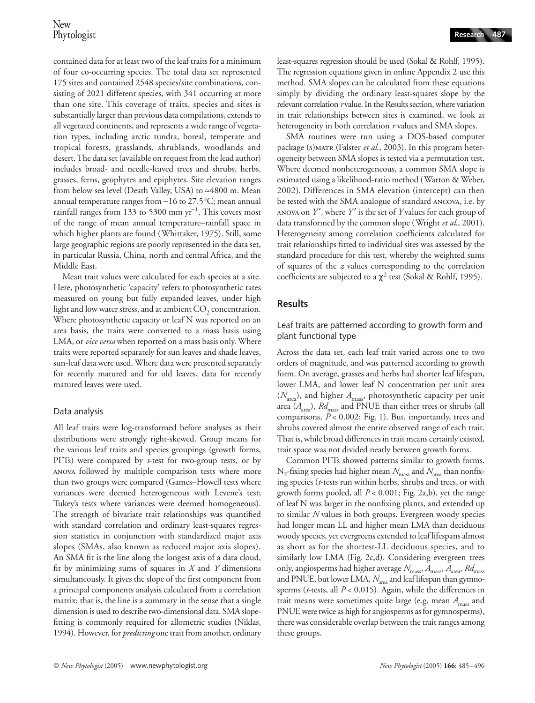contained data for at least two of the leaf traits for a minimum of four co-occurring species. The total data set represented 175 sites and contained 2548 species/site combinations, consisting of 2021 different species, with 341 occurring at more than one site. This coverage of traits, species and sites is substantially larger than previous data compilations, extends to all vegetated continents, and represents a wide range of vegetation types, including arctic tundra, boreal, temperate and tropical forests, grasslands, shrublands, woodlands and desert. The data set (available on request from the lead author) includes broad- and needle-leaved trees and shrubs, herbs, grasses, ferns, geophytes and epiphytes. Site elevation ranges from below sea level (Death Valley, USA) to ≈4800 m. Mean annual temperature ranges from −16 to 27.5°C; mean annual rainfall ranges from 133 to 5300 mm yr<sup>−</sup><sup>1</sup> . This covers most of the range of mean annual temperature–rainfall space in which higher plants are found (Whittaker, 1975). Still, some large geographic regions are poorly represented in the data set, in particular Russia, China, north and central Africa, and the Middle East.

Mean trait values were calculated for each species at a site. Here, photosynthetic 'capacity' refers to photosynthetic rates measured on young but fully expanded leaves, under high light and low water stress, and at ambient  $CO<sub>2</sub>$  concentration. Where photosynthetic capacity or leaf N was reported on an area basis, the traits were converted to a mass basis using LMA, or *vice versa* when reported on a mass basis only. Where traits were reported separately for sun leaves and shade leaves, sun-leaf data were used. Where data were presented separately for recently matured and for old leaves, data for recently matured leaves were used.

## Data analysis

All leaf traits were log-transformed before analyses as their distributions were strongly right-skewed. Group means for the various leaf traits and species groupings (growth forms, PFTs) were compared by *t*-test for two-group tests, or by ANOVA followed by multiple comparison tests where more than two groups were compared (Games–Howell tests where variances were deemed heterogeneous with Levene's test; Tukey's tests where variances were deemed homogeneous). The strength of bivariate trait relationships was quantified with standard correlation and ordinary least-squares regression statistics in conjunction with standardized major axis slopes (SMAs, also known as reduced major axis slopes). An SMA fit is the line along the longest axis of a data cloud, fit by minimizing sums of squares in *X* and *Y* dimensions simultaneously. It gives the slope of the first component from a principal components analysis calculated from a correlation matrix; that is, the line is a summary in the sense that a single dimension is used to describe two-dimensional data. SMA slopefitting is commonly required for allometric studies (Niklas, 1994). However, for *predicting* one trait from another, ordinary least-squares regression should be used (Sokal & Rohlf, 1995). The regression equations given in online Appendix 2 use this method. SMA slopes can be calculated from these equations simply by dividing the ordinary least-squares slope by the relevant correlation *r* value. In the Results section, where variation in trait relationships between sites is examined, we look at heterogeneity in both correlation *r* values and SMA slopes.

SMA routines were run using a DOS-based computer package (s) MATR (Falster *et al.*, 2003). In this program heterogeneity between SMA slopes is tested via a permutation test. Where deemed nonheterogeneous, a common SMA slope is estimated using a likelihood-ratio method (Warton & Weber, 2002). Differences in SMA elevation (intercept) can then be tested with the SMA analogue of standard ANCOVA, i.e. by on *Y* ′, where *Y* ′ is the set of *Y* values for each group of data transformed by the common slope (Wright *et al*., 2001). Heterogeneity among correlation coefficients calculated for trait relationships fitted to individual sites was assessed by the standard procedure for this test, whereby the weighted sums of squares of the *z* values corresponding to the correlation coefficients are subjected to a  $\chi^2$  test (Sokal & Rohlf, 1995).

## **Results**

Leaf traits are patterned according to growth form and plant functional type

Across the data set, each leaf trait varied across one to two orders of magnitude, and was patterned according to growth form. On average, grasses and herbs had shorter leaf lifespan, lower LMA, and lower leaf N concentration per unit area (*N*area), and higher *A*mass, photosynthetic capacity per unit area ( $A_{\text{area}}$ ),  $Rd_{\text{mass}}$  and PNUE than either trees or shrubs (all comparisons, *P* < 0.002; Fig. 1). But, importantly, trees and shrubs covered almost the entire observed range of each trait. That is, while broad differences in trait means certainly existed, trait space was not divided neatly between growth forms.

Common PFTs showed patterns similar to growth forms. N<sub>2</sub>-fixing species had higher mean *N*<sub>mass</sub> and *N*<sub>area</sub> than nonfixing species (*t*-tests run within herbs, shrubs and trees, or with growth forms pooled, all *P* < 0.001; Fig. 2a,b), yet the range of leaf N was larger in the nonfixing plants, and extended up to similar *N* values in both groups. Evergreen woody species had longer mean LL and higher mean LMA than deciduous woody species, yet evergreens extended to leaf lifespans almost as short as for the shortest-LL deciduous species, and to similarly low LMA (Fig. 2c,d). Considering evergreen trees only, angiosperms had higher average  $N_{\text{mass}}$ ,  $A_{\text{mass}}$ ,  $A_{\text{area}}$ ,  $Rd_{\text{mass}}$ and PNUE, but lower LMA,  $N_{\text{area}}$  and leaf lifespan than gymnosperms (*t*-tests, all *P* < 0.015). Again, while the differences in trait means were sometimes quite large (e.g. mean  $A_{\text{mass}}$  and PNUE were twice as high for angiosperms as for gymnosperms), there was considerable overlap between the trait ranges among these groups.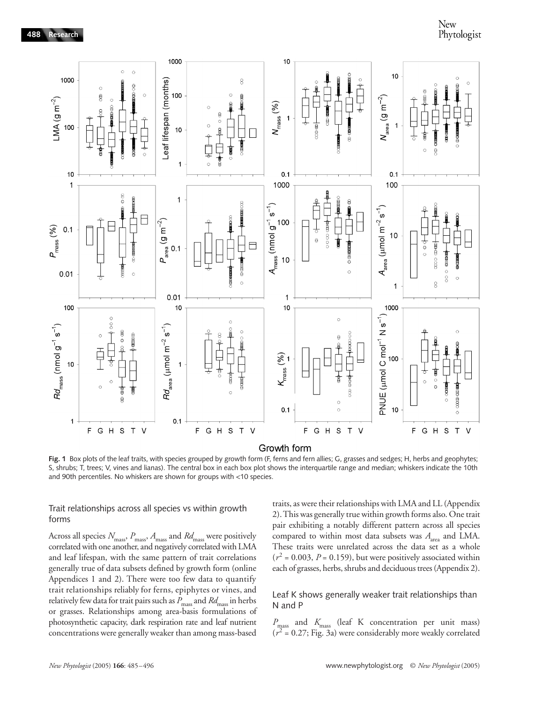

#### Growth form

**Fig. 1** Box plots of the leaf traits, with species grouped by growth form (F, ferns and fern allies; G, grasses and sedges; H, herbs and geophytes; S, shrubs; T, trees; V, vines and lianas). The central box in each box plot shows the interquartile range and median; whiskers indicate the 10th and 90th percentiles. No whiskers are shown for groups with <10 species.

Trait relationships across all species vs within growth forms

Across all species  $N_{\text{mass}}$ ,  $P_{\text{mass}}$ ,  $A_{\text{mass}}$  and  $Rd_{\text{mass}}$  were positively correlated with one another, and negatively correlated with LMA and leaf lifespan, with the same pattern of trait correlations generally true of data subsets defined by growth form (online Appendices 1 and 2). There were too few data to quantify trait relationships reliably for ferns, epiphytes or vines, and relatively few data for trait pairs such as  $P_{\text{mass}}$  and  $Rd_{\text{mass}}$  in herbs or grasses. Relationships among area-basis formulations of photosynthetic capacity, dark respiration rate and leaf nutrient concentrations were generally weaker than among mass-based

traits, as were their relationships with LMA and LL (Appendix 2). This was generally true within growth forms also. One trait pair exhibiting a notably different pattern across all species compared to within most data subsets was  $A_{\text{area}}$  and LMA. These traits were unrelated across the data set as a whole  $(r^2 = 0.003, P = 0.159)$ , but were positively associated within each of grasses, herbs, shrubs and deciduous trees (Appendix 2).

## Leaf K shows generally weaker trait relationships than N and P

*P*mass and *K*mass (leaf K concentration per unit mass)  $(r^2 = 0.27;$  Fig. 3a) were considerably more weakly correlated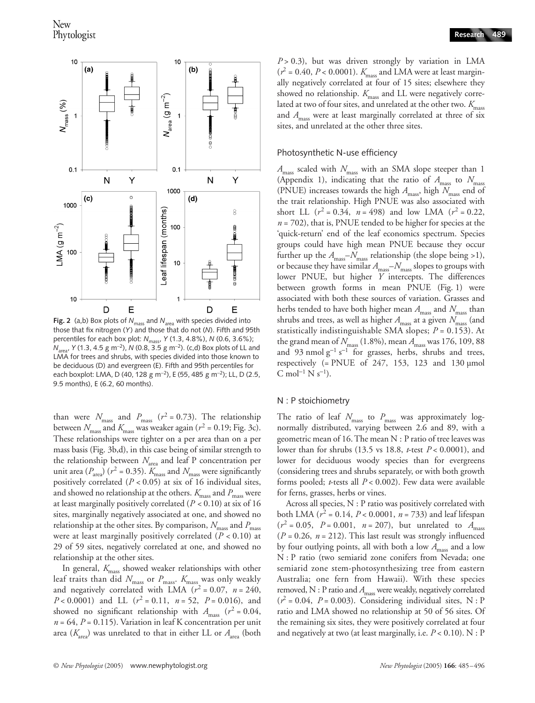

**Fig. 2** (a,b) Box plots of  $N_{\text{mass}}$  and  $N_{\text{area}}$  with species divided into those that fix nitrogen (*Y*) and those that do not (*N*). Fifth and 95th percentiles for each box plot: *N*mass, *Y* (1.3, 4.8%), *N* (0.6, 3.6%); *N*<sub>area</sub>, *Y* (1.3, 4.5 g m<sup>−2</sup>), *N* (0.8, 3.5 g m<sup>−2</sup>). (c,d) Box plots of LL and LMA for trees and shrubs, with species divided into those known to be deciduous (D) and evergreen (E). Fifth and 95th percentiles for each boxplot: LMA, D (40, 128 g m<sup>−</sup>2), E (55, 485 g m<sup>−</sup>2); LL, D (2.5, 9.5 months), E (6.2, 60 months).

than were  $N_{\text{mass}}$  and  $P_{\text{mass}}$  ( $r^2 = 0.73$ ). The relationship between  $N_{\text{mass}}$  and  $K_{\text{mass}}$  was weaker again ( $r^2$  = 0.19; Fig. 3c). These relationships were tighter on a per area than on a per mass basis (Fig. 3b,d), in this case being of similar strength to the relationship between  $N_{area}$  and leaf P concentration per unit area ( $P_{\text{area}}$ ) ( $r^2$  = 0.35).  $K_{\text{mass}}$  and  $N_{\text{mass}}$  were significantly positively correlated (*P <* 0.05) at six of 16 individual sites, and showed no relationship at the others.  $K_{\text{mass}}$  and  $P_{\text{mass}}$  were at least marginally positively correlated (*P <* 0.10) at six of 16 sites, marginally negatively associated at one, and showed no relationship at the other sites. By comparison,  $N_{\text{mass}}$  and  $P_{\text{mass}}$ were at least marginally positively correlated (*P <* 0.10) at 29 of 59 sites, negatively correlated at one, and showed no relationship at the other sites.

In general,  $K_{\text{mass}}$  showed weaker relationships with other leaf traits than did  $N_{\rm mass}$  or  $P_{\rm mass}$ .  $K_{\rm mass}$  was only weakly and negatively correlated with LMA  $(r^2 = 0.07, n = 240,$  $P < 0.0001$ ) and LL ( $r^2 = 0.11$ ,  $n = 52$ ,  $P = 0.016$ ), and showed no significant relationship with  $A_{\text{mass}}$  ( $r^2 = 0.04$ ,  $n = 64$ ,  $P = 0.115$ ). Variation in leaf K concentration per unit area  $(K<sub>area</sub>)$  was unrelated to that in either LL or  $A<sub>area</sub>$  (both  $P > 0.3$ ), but was driven strongly by variation in LMA  $(r^2 = 0.40, P < 0.0001)$ .  $K_{\text{mass}}$  and LMA were at least marginally negatively correlated at four of 15 sites; elsewhere they showed no relationship.  $K_{\text{mass}}$  and LL were negatively correlated at two of four sites, and unrelated at the other two.  $K_{\text{mass}}$ and *A*mass were at least marginally correlated at three of six sites, and unrelated at the other three sites.

#### Photosynthetic N-use efficiency

*A*mass scaled with *N*mass with an SMA slope steeper than 1 (Appendix 1), indicating that the ratio of  $A_{\text{mass}}$  to  $N_{\text{mass}}$ (PNUE) increases towards the high  $A_{\text{mass}}$ , high  $N_{\text{mass}}$  end of the trait relationship. High PNUE was also associated with short LL  $(r^2 = 0.34, n = 498)$  and low LMA  $(r^2 = 0.22,$ *n* = 702), that is, PNUE tended to be higher for species at the 'quick-return' end of the leaf economics spectrum. Species groups could have high mean PNUE because they occur further up the  $A_{\rm mass}$ – $N_{\rm mass}$  relationship (the slope being >1), or because they have similar *A*mass–*N*mass slopes to groups with lower PNUE, but higher *Y* intercepts. The differences between growth forms in mean PNUE (Fig. 1) were associated with both these sources of variation. Grasses and herbs tended to have both higher mean  $A_{\text{mass}}$  and  $N_{\text{mass}}$  than shrubs and trees, as well as higher  $A_{\text{mass}}$  at a given  $N_{\text{mass}}$  (and statistically indistinguishable SMA slopes;  $P = 0.153$ ). At the grand mean of *N*<sub>mass</sub> (1.8%), mean *A*<sub>mass</sub> was 176, 109, 88 and 93 nmol  $g^{-1} s^{-1}$  for grasses, herbs, shrubs and trees, respectively (= PNUE of  $247$ , 153, 123 and 130 µmol  $C \text{ mol}^{-1} \text{ N } s^{-1}$ ).

#### N : P stoichiometry

The ratio of leaf  $N_{\text{mass}}$  to  $P_{\text{mass}}$  was approximately lognormally distributed, varying between 2.6 and 89, with a geometric mean of 16. The mean N : P ratio of tree leaves was lower than for shrubs (13.5 vs 18.8, *t*-test *P* < 0.0001), and lower for deciduous woody species than for evergreens (considering trees and shrubs separately, or with both growth forms pooled; *t*-tests all *P* < 0.002). Few data were available for ferns, grasses, herbs or vines.

Across all species, N : P ratio was positively correlated with both LMA ( $r^2$  = 0.14, *P* < 0.0001, *n* = 733) and leaf lifespan  $(r^2 = 0.05, P = 0.001, n = 207)$ , but unrelated to  $A_{\text{mass}}$ (*P =* 0.26, *n* = 212). This last result was strongly influenced by four outlying points, all with both a low  $A_{\text{mass}}$  and a low N : P ratio (two semiarid zone conifers from Nevada; one semiarid zone stem-photosynthesizing tree from eastern Australia; one fern from Hawaii). With these species removed, N : P ratio and  $A_{\text{mass}}$  were weakly, negatively correlated  $(r^2 = 0.04, P = 0.003)$ . Considering individual sites, N : P ratio and LMA showed no relationship at 50 of 56 sites. Of the remaining six sites, they were positively correlated at four and negatively at two (at least marginally, i.e.  $P < 0.10$ ). N : P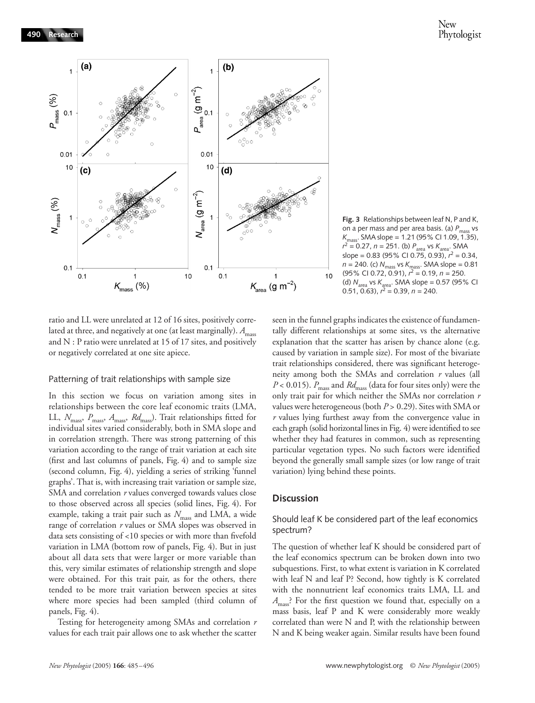

**Fig. 3** Relationships between leaf N, P and K, on a per mass and per area basis. (a)  $P_{\text{mass}}$  vs *K*mass. SMA slope = 1.21 (95% CI 1.09, 1.35),  $r^2 = 0.27$ , *n* = 251. (b)  $P_{\text{area}}$  vs  $K_{\text{area}}$  SMA slope = 0.83 (95% CI 0.75, 0.93), *r* 2 = 0.34, *n* = 240. (c) *N*mass vs *K*mass. SMA slope = 0.81 (95% CI 0.72, 0.91), *r* 2 = 0.19, *n* = 250. (d) *N*area vs *K*area. SMA slope = 0.57 (95% CI 0.51, 0.63), *r* 2 = 0.39, *n* = 240.

ratio and LL were unrelated at 12 of 16 sites, positively correlated at three, and negatively at one (at least marginally).  $A_{\text{mass}}$ and N : P ratio were unrelated at 15 of 17 sites, and positively or negatively correlated at one site apiece.

#### Patterning of trait relationships with sample size

In this section we focus on variation among sites in relationships between the core leaf economic traits (LMA, LL,  $N_{\text{mass}}$ ,  $P_{\text{mass}}$ ,  $A_{\text{mass}}$ ,  $Rd_{\text{mass}}$ ). Trait relationships fitted for individual sites varied considerably, both in SMA slope and in correlation strength. There was strong patterning of this variation according to the range of trait variation at each site (first and last columns of panels, Fig. 4) and to sample size (second column, Fig. 4), yielding a series of striking 'funnel graphs'. That is, with increasing trait variation or sample size, SMA and correlation *r* values converged towards values close to those observed across all species (solid lines, Fig. 4). For example, taking a trait pair such as  $N_{\rm mass}$  and LMA, a wide range of correlation *r* values or SMA slopes was observed in data sets consisting of <10 species or with more than fivefold variation in LMA (bottom row of panels, Fig. 4). But in just about all data sets that were larger or more variable than this, very similar estimates of relationship strength and slope were obtained. For this trait pair, as for the others, there tended to be more trait variation between species at sites where more species had been sampled (third column of panels, Fig. 4).

Testing for heterogeneity among SMAs and correlation *r* values for each trait pair allows one to ask whether the scatter

seen in the funnel graphs indicates the existence of fundamentally different relationships at some sites, vs the alternative explanation that the scatter has arisen by chance alone (e.g. caused by variation in sample size). For most of the bivariate trait relationships considered, there was significant heterogeneity among both the SMAs and correlation *r* values (all  $P$  < 0.015).  $P_{\text{mass}}$  and  $Rd_{\text{mass}}$  (data for four sites only) were the only trait pair for which neither the SMAs nor correlation *r* values were heterogeneous (both *P* > 0.29). Sites with SMA or *r* values lying furthest away from the convergence value in each graph (solid horizontal lines in Fig. 4) were identified to see whether they had features in common, such as representing particular vegetation types. No such factors were identified beyond the generally small sample sizes (or low range of trait variation) lying behind these points.

### **Discussion**

## Should leaf K be considered part of the leaf economics spectrum?

The question of whether leaf K should be considered part of the leaf economics spectrum can be broken down into two subquestions. First, to what extent is variation in K correlated with leaf N and leaf P? Second, how tightly is K correlated with the nonnutrient leaf economics traits LMA, LL and *A*<sub>mass</sub>? For the first question we found that, especially on a mass basis, leaf P and K were considerably more weakly correlated than were N and P, with the relationship between N and K being weaker again. Similar results have been found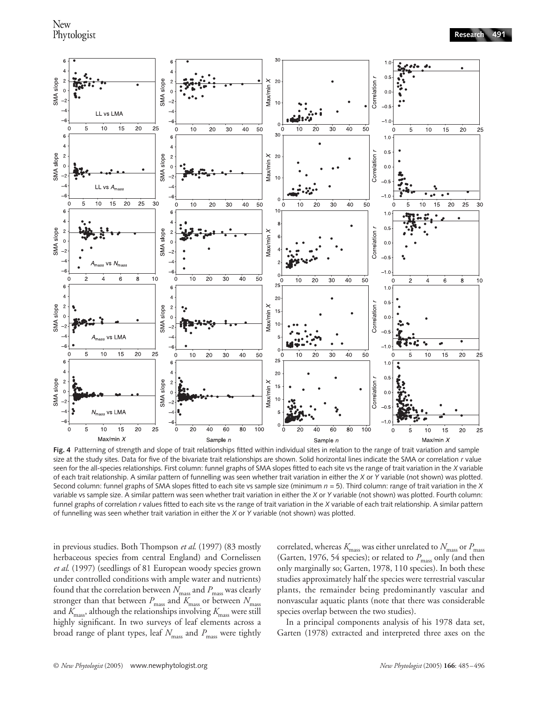New Phytologist



**Fig. 4** Patterning of strength and slope of trait relationships fitted within individual sites in relation to the range of trait variation and sample size at the study sites. Data for five of the bivariate trait relationships are shown. Solid horizontal lines indicate the SMA or correlation *r* value seen for the all-species relationships. First column: funnel graphs of SMA slopes fitted to each site vs the range of trait variation in the *X* variable of each trait relationship. A similar pattern of funnelling was seen whether trait variation in either the *X* or *Y* variable (not shown) was plotted. Second column: funnel graphs of SMA slopes fitted to each site vs sample size (minimum *n* = 5). Third column: range of trait variation in the *X* variable vs sample size. A similar pattern was seen whether trait variation in either the *X* or *Y* variable (not shown) was plotted. Fourth column: funnel graphs of correlation *r* values fitted to each site vs the range of trait variation in the *X* variable of each trait relationship. A similar pattern of funnelling was seen whether trait variation in either the *X* or *Y* variable (not shown) was plotted.

in previous studies. Both Thompson *et al*. (1997) (83 mostly herbaceous species from central England) and Cornelissen *et al*. (1997) (seedlings of 81 European woody species grown under controlled conditions with ample water and nutrients) found that the correlation between  $N_{\rm mass}$  and  $P_{\rm mass}$  was clearly stronger than that between *P*mass and *K*mass or between *N*mass and  $K_{\rm mass}$ , although the relationships involving  $K_{\rm mass}$  were still highly significant. In two surveys of leaf elements across a broad range of plant types, leaf  $N_{\text{mass}}$  and  $P_{\text{mass}}$  were tightly

correlated, whereas  $K_{\rm mass}$  was either unrelated to  $N_{\rm mass}$  or  $P_{\rm mass}$ (Garten, 1976, 54 species); or related to  $P_{\text{mass}}$  only (and then only marginally so; Garten, 1978, 110 species). In both these studies approximately half the species were terrestrial vascular plants, the remainder being predominantly vascular and nonvascular aquatic plants (note that there was considerable species overlap between the two studies).

In a principal components analysis of his 1978 data set, Garten (1978) extracted and interpreted three axes on the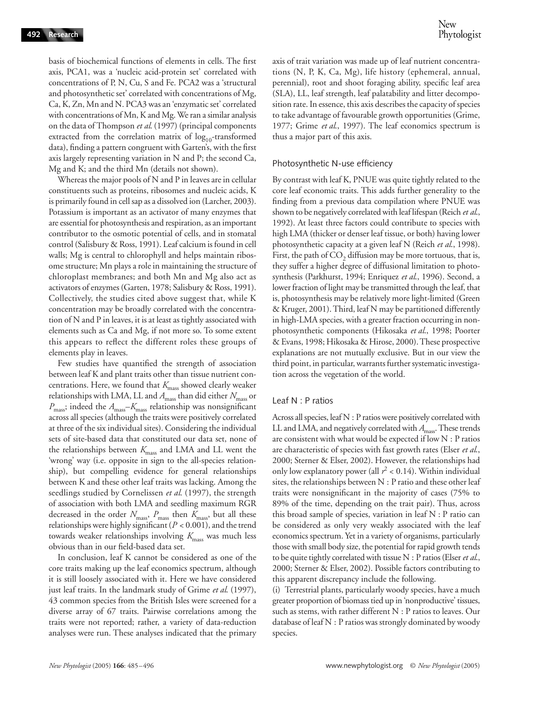New Phytologist

basis of biochemical functions of elements in cells. The first axis, PCA1, was a 'nucleic acid-protein set' correlated with concentrations of P, N, Cu, S and Fe. PCA2 was a 'structural and photosynthetic set' correlated with concentrations of Mg, Ca, K, Zn, Mn and N. PCA3 was an 'enzymatic set' correlated with concentrations of Mn, K and Mg. We ran a similar analysis on the data of Thompson *et al*. (1997) (principal components extracted from the correlation matrix of  $log_{10}$ -transformed data), finding a pattern congruent with Garten's, with the first axis largely representing variation in N and P; the second Ca, Mg and K; and the third Mn (details not shown).

Whereas the major pools of N and P in leaves are in cellular constituents such as proteins, ribosomes and nucleic acids, K is primarily found in cell sap as a dissolved ion (Larcher, 2003). Potassium is important as an activator of many enzymes that are essential for photosynthesis and respiration, as an important contributor to the osmotic potential of cells, and in stomatal control (Salisbury & Ross, 1991). Leaf calcium is found in cell walls; Mg is central to chlorophyll and helps maintain ribosome structure; Mn plays a role in maintaining the structure of chloroplast membranes; and both Mn and Mg also act as activators of enzymes (Garten, 1978; Salisbury & Ross, 1991). Collectively, the studies cited above suggest that, while K concentration may be broadly correlated with the concentration of N and P in leaves, it is at least as tightly associated with elements such as Ca and Mg, if not more so. To some extent this appears to reflect the different roles these groups of elements play in leaves.

Few studies have quantified the strength of association between leaf K and plant traits other than tissue nutrient concentrations. Here, we found that  $K_{\text{mass}}$  showed clearly weaker relationships with LMA, LL and  $A_{\text{mass}}$  than did either  $N_{\text{mass}}$  or *P*mass; indeed the *A*mass–*K*mass relationship was nonsignificant across all species (although the traits were positively correlated at three of the six individual sites). Considering the individual sets of site-based data that constituted our data set, none of the relationships between  $K_{\text{mass}}$  and LMA and LL went the 'wrong' way (i.e. opposite in sign to the all-species relationship), but compelling evidence for general relationships between K and these other leaf traits was lacking. Among the seedlings studied by Cornelissen *et al*. (1997), the strength of association with both LMA and seedling maximum RGR decreased in the order  $N_{\rm mass},\ P_{\rm mass}$  then  $K_{\rm mass},$  but all these relationships were highly significant (*P <* 0.001), and the trend towards weaker relationships involving  $K_{\text{mass}}$  was much less obvious than in our field-based data set.

In conclusion, leaf K cannot be considered as one of the core traits making up the leaf economics spectrum, although it is still loosely associated with it. Here we have considered just leaf traits. In the landmark study of Grime *et al*. (1997), 43 common species from the British Isles were screened for a diverse array of 67 traits. Pairwise correlations among the traits were not reported; rather, a variety of data-reduction analyses were run. These analyses indicated that the primary

axis of trait variation was made up of leaf nutrient concentrations (N, P, K, Ca, Mg), life history (ephemeral, annual, perennial), root and shoot foraging ability, specific leaf area (SLA), LL, leaf strength, leaf palatability and litter decomposition rate. In essence, this axis describes the capacity of species to take advantage of favourable growth opportunities (Grime, 1977; Grime *et al*., 1997). The leaf economics spectrum is thus a major part of this axis.

#### Photosynthetic N-use efficiency

By contrast with leaf K, PNUE was quite tightly related to the core leaf economic traits. This adds further generality to the finding from a previous data compilation where PNUE was shown to be negatively correlated with leaf lifespan (Reich *et al*., 1992). At least three factors could contribute to species with high LMA (thicker or denser leaf tissue, or both) having lower photosynthetic capacity at a given leaf N (Reich *et al*., 1998). First, the path of  $CO<sub>2</sub>$  diffusion may be more tortuous, that is, they suffer a higher degree of diffusional limitation to photosynthesis (Parkhurst, 1994; Enriquez *et al*., 1996). Second, a lower fraction of light may be transmitted through the leaf, that is, photosynthesis may be relatively more light-limited (Green & Kruger, 2001). Third, leaf N may be partitioned differently in high-LMA species, with a greater fraction occurring in nonphotosynthetic components (Hikosaka *et al*., 1998; Poorter & Evans, 1998; Hikosaka & Hirose, 2000). These prospective explanations are not mutually exclusive. But in our view the third point, in particular, warrants further systematic investigation across the vegetation of the world.

#### Leaf N : P ratios

Across all species, leaf N : P ratios were positively correlated with LL and LMA, and negatively correlated with  $A_{\text{mass}}$ . These trends are consistent with what would be expected if low N : P ratios are characteristic of species with fast growth rates (Elser *et al*., 2000; Sterner & Elser, 2002). However, the relationships had only low explanatory power (all *r* 2 < 0.14). Within individual sites, the relationships between N : P ratio and these other leaf traits were nonsignificant in the majority of cases (75% to 89% of the time, depending on the trait pair). Thus, across this broad sample of species, variation in leaf N : P ratio can be considered as only very weakly associated with the leaf economics spectrum. Yet in a variety of organisms, particularly those with small body size, the potential for rapid growth tends to be quite tightly correlated with tissue N : P ratios (Elser *et al*., 2000; Sterner & Elser, 2002). Possible factors contributing to this apparent discrepancy include the following.

(i) Terrestrial plants, particularly woody species, have a much greater proportion of biomass tied up in 'nonproductive' tissues, such as stems, with rather different N : P ratios to leaves. Our database of leaf N : P ratios was strongly dominated by woody species.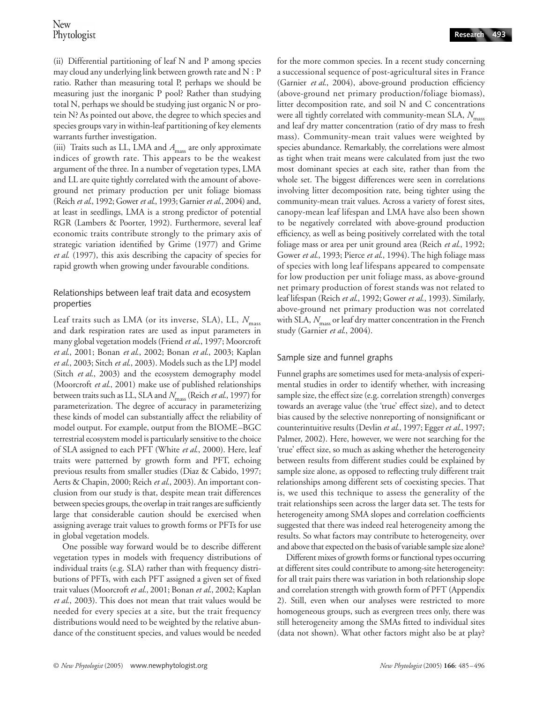(ii) Differential partitioning of leaf N and P among species may cloud any underlying link between growth rate and N : P ratio. Rather than measuring total P, perhaps we should be measuring just the inorganic P pool? Rather than studying total N, perhaps we should be studying just organic N or protein N? As pointed out above, the degree to which species and species groups vary in within-leaf partitioning of key elements warrants further investigation.

(iii) Traits such as LL, LMA and  $A<sub>mass</sub>$  are only approximate indices of growth rate. This appears to be the weakest argument of the three. In a number of vegetation types, LMA and LL are quite tightly correlated with the amount of aboveground net primary production per unit foliage biomass (Reich *et al*., 1992; Gower *et al*., 1993; Garnier *et al*., 2004) and, at least in seedlings, LMA is a strong predictor of potential RGR (Lambers & Poorter, 1992). Furthermore, several leaf economic traits contribute strongly to the primary axis of strategic variation identified by Grime (1977) and Grime *et al*. (1997), this axis describing the capacity of species for rapid growth when growing under favourable conditions.

## Relationships between leaf trait data and ecosystem properties

Leaf traits such as LMA (or its inverse, SLA), LL,  $N_{\text{mass}}$ and dark respiration rates are used as input parameters in many global vegetation models (Friend *et al*., 1997; Moorcroft *et al*., 2001; Bonan *et al*., 2002; Bonan *et al*., 2003; Kaplan *et al*., 2003; Sitch *et al*., 2003). Models such as the LPJ model (Sitch *et al*., 2003) and the ecosystem demography model (Moorcroft *et al*., 2001) make use of published relationships between traits such as LL, SLA and  $N_{\text{mass}}$  (Reich *et al.*, 1997) for parameterization. The degree of accuracy in parameterizing these kinds of model can substantially affect the reliability of model output. For example, output from the BIOME–BGC terrestrial ecosystem model is particularly sensitive to the choice of SLA assigned to each PFT (White *et al*., 2000). Here, leaf traits were patterned by growth form and PFT, echoing previous results from smaller studies (Diaz & Cabido, 1997; Aerts & Chapin, 2000; Reich *et al*., 2003). An important conclusion from our study is that, despite mean trait differences between species groups, the overlap in trait ranges are sufficiently large that considerable caution should be exercised when assigning average trait values to growth forms or PFTs for use in global vegetation models.

One possible way forward would be to describe different vegetation types in models with frequency distributions of individual traits (e.g. SLA) rather than with frequency distributions of PFTs, with each PFT assigned a given set of fixed trait values (Moorcroft *et al*., 2001; Bonan *et al*., 2002; Kaplan *et al*., 2003). This does not mean that trait values would be needed for every species at a site, but the trait frequency distributions would need to be weighted by the relative abundance of the constituent species, and values would be needed

for the more common species. In a recent study concerning a successional sequence of post-agricultural sites in France (Garnier *et al*., 2004), above-ground production efficiency (above-ground net primary production/foliage biomass), litter decomposition rate, and soil N and C concentrations were all tightly correlated with community-mean SLA,  $N_{\text{mass}}$ and leaf dry matter concentration (ratio of dry mass to fresh mass). Community-mean trait values were weighted by species abundance. Remarkably, the correlations were almost as tight when trait means were calculated from just the two most dominant species at each site, rather than from the whole set. The biggest differences were seen in correlations involving litter decomposition rate, being tighter using the community-mean trait values. Across a variety of forest sites, canopy-mean leaf lifespan and LMA have also been shown to be negatively correlated with above-ground production efficiency, as well as being positively correlated with the total foliage mass or area per unit ground area (Reich *et al*., 1992; Gower *et al*., 1993; Pierce *et al*., 1994). The high foliage mass of species with long leaf lifespans appeared to compensate for low production per unit foliage mass, as above-ground net primary production of forest stands was not related to leaf lifespan (Reich *et al*., 1992; Gower *et al*., 1993). Similarly, above-ground net primary production was not correlated with SLA,  $N_{\text{mass}}$  or leaf dry matter concentration in the French study (Garnier *et al*., 2004).

## Sample size and funnel graphs

Funnel graphs are sometimes used for meta-analysis of experimental studies in order to identify whether, with increasing sample size, the effect size (e.g. correlation strength) converges towards an average value (the 'true' effect size), and to detect bias caused by the selective nonreporting of nonsignificant or counterintuitive results (Devlin *et al*., 1997; Egger *et al*., 1997; Palmer, 2002). Here, however, we were not searching for the 'true' effect size, so much as asking whether the heterogeneity between results from different studies could be explained by sample size alone, as opposed to reflecting truly different trait relationships among different sets of coexisting species. That is, we used this technique to assess the generality of the trait relationships seen across the larger data set. The tests for heterogeneity among SMA slopes and correlation coefficients suggested that there was indeed real heterogeneity among the results. So what factors may contribute to heterogeneity, over and above that expected on the basis of variable sample size alone?

Different mixes of growth forms or functional types occurring at different sites could contribute to among-site heterogeneity: for all trait pairs there was variation in both relationship slope and correlation strength with growth form of PFT (Appendix 2). Still, even when our analyses were restricted to more homogeneous groups, such as evergreen trees only, there was still heterogeneity among the SMAs fitted to individual sites (data not shown). What other factors might also be at play?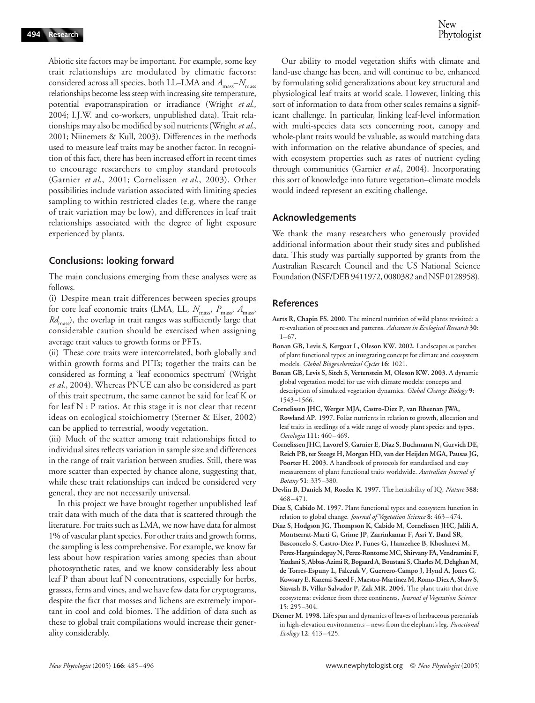Abiotic site factors may be important. For example, some key trait relationships are modulated by climatic factors: considered across all species, both LL–LMA and  $A_{\text{mass}}$ – $N_{\text{mass}}$ relationships become less steep with increasing site temperature, potential evapotranspiration or irradiance (Wright *et al*., 2004; I.J.W. and co-workers, unpublished data). Trait relationships may also be modified by soil nutrients (Wright *et al*., 2001; Niinemets & Kull, 2003). Differences in the methods used to measure leaf traits may be another factor. In recognition of this fact, there has been increased effort in recent times to encourage researchers to employ standard protocols (Garnier *et al*., 2001; Cornelissen *et al*., 2003). Other possibilities include variation associated with limiting species sampling to within restricted clades (e.g. where the range of trait variation may be low), and differences in leaf trait relationships associated with the degree of light exposure experienced by plants.

## **Conclusions: looking forward**

The main conclusions emerging from these analyses were as follows.

(i) Despite mean trait differences between species groups for core leaf economic traits (LMA, LL,  $N_{\text{mass}}$ ,  $P_{\text{mass}}$ ,  $A_{\text{mass}}$ , *Rd*<sub>mass</sub>), the overlap in trait ranges was sufficiently large that considerable caution should be exercised when assigning average trait values to growth forms or PFTs.

(ii) These core traits were intercorrelated, both globally and within growth forms and PFTs; together the traits can be considered as forming a 'leaf economics spectrum' (Wright *et al*., 2004). Whereas PNUE can also be considered as part of this trait spectrum, the same cannot be said for leaf K or for leaf N : P ratios. At this stage it is not clear that recent ideas on ecological stoichiometry (Sterner & Elser, 2002) can be applied to terrestrial, woody vegetation.

(iii) Much of the scatter among trait relationships fitted to individual sites reflects variation in sample size and differences in the range of trait variation between studies. Still, there was more scatter than expected by chance alone, suggesting that, while these trait relationships can indeed be considered very general, they are not necessarily universal.

In this project we have brought together unpublished leaf trait data with much of the data that is scattered through the literature. For traits such as LMA, we now have data for almost 1% of vascular plant species. For other traits and growth forms, the sampling is less comprehensive. For example, we know far less about how respiration varies among species than about photosynthetic rates, and we know considerably less about leaf P than about leaf N concentrations, especially for herbs, grasses, ferns and vines, and we have few data for cryptograms, despite the fact that mosses and lichens are extremely important in cool and cold biomes. The addition of data such as these to global trait compilations would increase their generality considerably.

Our ability to model vegetation shifts with climate and land-use change has been, and will continue to be, enhanced by formulating solid generalizations about key structural and physiological leaf traits at world scale. However, linking this sort of information to data from other scales remains a significant challenge. In particular, linking leaf-level information with multi-species data sets concerning root, canopy and whole-plant traits would be valuable, as would matching data with information on the relative abundance of species, and with ecosystem properties such as rates of nutrient cycling through communities (Garnier *et al*., 2004). Incorporating this sort of knowledge into future vegetation–climate models would indeed represent an exciting challenge.

## **Acknowledgements**

We thank the many researchers who generously provided additional information about their study sites and published data. This study was partially supported by grants from the Australian Research Council and the US National Science Foundation (NSF/DEB 9411972, 0080382 and NSF 0128958).

## **References**

- **Aerts R, Chapin FS. 2000.** The mineral nutrition of wild plants revisited: a re-evaluation of processes and patterns. *Advances in Ecological Research* **30**: 1–67.
- **Bonan GB, Levis S, Kergoat L, Oleson KW. 2002.** Landscapes as patches of plant functional types: an integrating concept for climate and ecosystem models. *Global Biogeochemical Cycles* **16**: 1021.
- **Bonan GB, Levis S, Sitch S, Vertenstein M, Oleson KW. 2003.** A dynamic global vegetation model for use with climate models: concepts and description of simulated vegetation dynamics. *Global Change Biology* **9**: 1543–1566.
- **Cornelissen JHC, Werger MJA, Castro-Diez P, van Rheenan JWA, Rowland AP. 1997.** Foliar nutrients in relation to growth, allocation and leaf traits in seedlings of a wide range of woody plant species and types. *Oecologia* **111**: 460–469.
- **Cornelissen JHC, Lavorel S, Garnier E, Diaz S, Buchmann N, Gurvich DE, Reich PB, ter Steege H, Morgan HD, van der Heijden MGA, Pausas JG,**  Poorter H. 2003. A handbook of protocols for standardised and easy measurement of plant functional traits worldwide. *Australian Journal of Botany* **51**: 335–380.
- **Devlin B, Daniels M, Roeder K. 1997.** The heritability of IQ. *Nature* **388**: 468–471.
- **Diaz S, Cabido M. 1997.** Plant functional types and ecosystem function in relation to global change. *Journal of Vegetation Science* **8**: 463–474.
- **Diaz S, Hodgson JG, Thompson K, Cabido M, Cornelissen JHC, Jalili A, Montserrat-Marti G, Grime JP, Zarrinkamar F, Asri Y, Band SR, Basconcelo S, Castro-Diez P, Funes G, Hamzehee B, Khoshnevi M, Perez-Harguindeguy N, Perez-Rontome MC, Shirvany FA, Vendramini F, Yazdani S, Abbas-Azimi R, Bogaard A, Boustani S, Charles M, Dehghan M, de Torres-Espuny L, Falczuk V, Guerrero-Campo J, Hynd A, Jones G, Kowsary E, Kazemi-Saeed F, Maestro-Martinez M, Romo-Diez A, Shaw S, Siavash B, Villar-Salvador P, Zak MR. 2004.** The plant traits that drive ecosystems: evidence from three continents. *Journal of Vegetation Science* **15**: 295–304.
- **Diemer M. 1998.** Life span and dynamics of leaves of herbaceous perennials in high-elevation environments – news from the elephant's leg. *Functional Ecology* **12**: 413–425.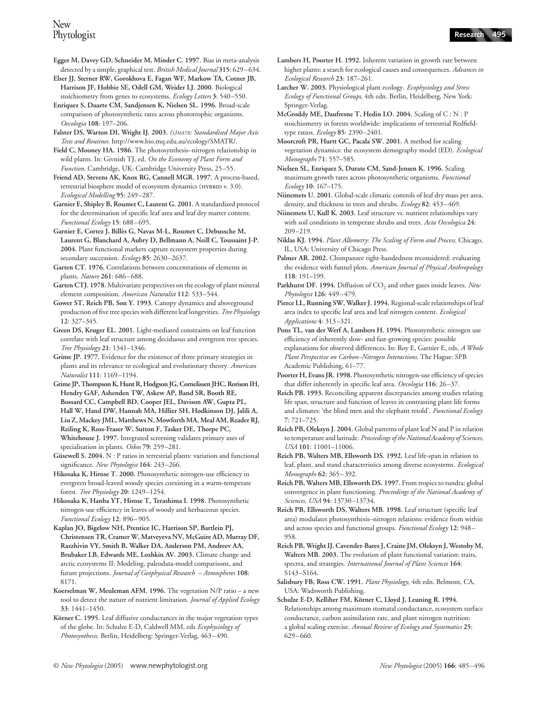**Egger M, Davey GD, Schneider M, Minder C. 1997.** Bias in meta-analysis detected by a simple, graphical test. *British Medical Journal* **315**: 629–634.

**Elser JJ, Sterner RW, Gorokhova E, Fagan WF, Markow TA, Cotner JB, Harrison JF, Hobbie SE, Odell GM, Weider LJ. 2000.** Biological stoichiometry from genes to ecosystems. *Ecology Letters* **3**: 540–550.

**Enriquez S, Duarte CM, Sandjensen K, Nielsen SL. 1996.** Broad-scale comparison of photosynthetic rates across phototrophic organisms. *Oecologia* **108**: 197–206.

**Falster DS, Warton DI, Wright IJ. 2003.** *(S)MATR: Standardised Major Axis Tests and Routines.*<http://www.bio.mq.edu.au/ecology/SMATR/>*.*

**Field C, Mooney HA. 1986.** The photosynthesis–nitrogen relationship in wild plants. In: Givnish TJ, ed. *On the Economy of Plant Form and Function.* Cambridge, UK: Cambridge University Press, 25–55.

**Friend AD, Stevens AK, Knox RG, Cannell MGR. 1997.** A process-based, terrestrial biosphere model of ecosystem dynamics (HYBRID v. 3.0). *Ecological Modelling* **95**: 249–287.

Garnier E, Shipley B, Roumet C, Laurent G. 2001. A standardized protocol for the determination of specific leaf area and leaf dry matter content. *Functional Ecology* **15**: 688–695.

**Garnier E, Cortez J, Billès G, Navas M-L, Roumet C, Debussche M, Laurent G, Blanchard A, Aubry D, Bellmann A, Neill C, Toussaint J-P. 2004.** Plant functional markers capture ecosystem properties during secondary succession. *Ecology* **85**: 2630–2637.

**Garten CT. 1976.** Correlations between concentrations of elements in plants. *Nature* **261**: 686–688.

**Garten CTJ. 1978.** Multivariate perspectives on the ecology of plant mineral element composition. *American Naturalist* **112**: 533–544.

**Gower ST, Reich PB, Son Y. 1993.** Canopy dynamics and aboveground production of five tree species with different leaf longevities. *Tree Physiology* **12**: 327–345.

**Green DS, Kruger EL. 2001.** Light-mediated constraints on leaf function correlate with leaf structure among deciduous and evergreen tree species. *Tree Physiology* **21**: 1341–1346.

**Grime JP. 1977.** Evidence for the existence of three primary strategies in plants and its relevance to ecological and evolutionary theory. *American Naturalist* **111**: 1169–1194.

**Grime JP, Thompson K, Hunt R, Hodgson JG, Cornelissen JHC, Rorison IH, Hendry GAF, Ashenden TW, Askew AP, Band SR, Booth RE, Bossard CC, Campbell BD, Cooper JEL, Davison AW, Gupta PL, Hall W, Hand DW, Hannah MA, Hillier SH, Hodkinson DJ, Jalili A, Liu Z, Mackey JML, Matthews N, Mowforth MA, Meal AM, Reader RJ, Reiling K, Ross-Fraser W, Sutton F, Tasker DE, Thorpe PC, Whitehouse J. 1997.** Integrated screening validates primary axes of specialisation in plants. *Oikos* **79**: 259–281.

**Güsewell S. 2004.** N : P ratios in terrestrial plants: variation and functional significance. *New Phytologist* **164**: 243–266.

**Hikosaka K, Hirose T. 2000.** Photosynthetic nitrogen-use efficiency in evergreen broad-leaved woody species coexisting in a warm-temperate forest. *Tree Physiology* **20**: 1249–1254.

**Hikosaka K, Hanba YT, Hirose T, Terashima I. 1998.** Photosynthetic nitrogen-use efficiency in leaves of woody and herbaceous species. *Functional Ecology* **12**: 896–905.

**Kaplan JO, Bigelow NH, Prentice IC, Harrison SP, Bartlein PJ, Christensen TR, Cramer W, Matveyeva NV, McGuire AD, Murray DF, Razzhivin VY, Smith B, Walker DA, Anderson PM, Andreev AA, Brubaker LB, Edwards ME, Lozhkin AV. 2003.** Climate change and arctic ecosystems II: Modeling, paleodata-model comparisons, and future projections. *Journal of Geophysical Research – Atmospheres* **108**: 8171.

**Koerselman W, Meuleman AFM. 1996.** The vegetation N/P ratio – a new tool to detect the nature of nutrient limitation. *Journal of Applied Ecology* **33**: 1441–1450.

**Körner C. 1995.** Leaf diffusive conductances in the major vegetation types of the globe. In: Schulze E-D, Caldwell MM, eds *Ecophysiology of Photosynthesis.* Berlin, Heidelberg: Springer-Verlag, 463–490.

**Lambers H, Poorter H. 1992.** Inherent variation in growth rate between higher plants: a search for ecological causes and consequences. *Advances in Ecological Research* **23**: 187–261.

**Larcher W. 2003.** Physiological plant ecology. *Ecophysiology and Stress Ecology of Functional Groups*, 4th edn. Berlin, Heidelberg, New York: Springer-Verlag.

**McGroddy ME, Daufresne T, Hedin LO. 2004.** Scaling of C : N : P stoichiometry in forests worldwide: implications of terrestrial Redfieldtype ratios. *Ecology* **85**: 2390–2401.

**Moorcroft PR, Hurtt GC, Pacala SW. 2001.** A method for scaling vegetation dynamics: the ecosystem demography model (ED). *Ecological Monographs* **71**: 557–585.

**Nielsen SL, Enriquez S, Durate CM, Sand-Jensen K. 1996.** Scaling maximum growth rates across photosynthetic organisms. *Functional Ecology* **10**: 167–175.

**Niinemets U. 2001.** Global-scale climatic controls of leaf dry mass per area, density, and thickness in trees and shrubs. *Ecology* **82**: 453–469.

**Niinemets U, Kull K. 2003.** Leaf structure vs. nutrient relationships vary with soil conditions in temperate shrubs and trees. *Acta Oecologica* **24**: 209–219.

**Niklas KJ. 1994.** *Plant Allometry: The Scaling of Form and Process.* Chicago, IL, USA: University of Chicago Press.

**Palmer AR. 2002.** Chimpanzee right-handedness reconsidered: evaluating the evidence with funnel plots. *American Journal of Physical Anthropology* **118**: 191–199.

Parkhurst DF. 1994. Diffusion of CO<sub>2</sub> and other gases inside leaves. *New Phytologist* **126**: 449–479.

**Pierce LL, Running SW, Walker J. 1994.** Regional-scale relationships of leaf area index to specific leaf area and leaf nitrogen content. *Ecological Applications* **4**: 313–321.

**Pons TL, van der Werf A, Lambers H. 1994.** Photosynthetic nitrogen use efficiency of inherently slow- and fast-growing species: possible explanations for observed differences. In: Roy E, Garnier E, eds, *A Whole Plant Perspective on Carbon–Nitrogen Interactions.* The Hague: SPB Academic Publishing, 61–77.

**Poorter H, Evans JR. 1998.** Photosynthetic nitrogen-use efficiency of species that differ inherently in specific leaf area. *Oecologia* **116**: 26–37.

**Reich PB. 1993.** Reconciling apparent discrepancies among studies relating life span, structure and function of leaves in contrasting plant life forms and climates: 'the blind men and the elephant retold'. *Functional Ecology* **7**: 721–725.

**Reich PB, Oleksyn J. 2004.** Global patterns of plant leaf N and P in relation to temperature and latitude. *Proceedings of the National Academy of Sciences, USA* **101**: 11001–11006.

**Reich PB, Walters MB, Ellsworth DS. 1992.** Leaf life-span in relation to leaf, plant, and stand characteristics among diverse ecosystems. *Ecological Monographs* **62**: 365–392.

**Reich PB, Walters MB, Ellsworth DS. 1997.** From tropics to tundra: global convergence in plant functioning. *Proceedings of the National Academy of Sciences, USA* **94**: 13730–13734.

**Reich PB, Ellsworth DS, Walters MB. 1998.** Leaf structure (specific leaf area) modulates photosynthesis–nitrogen relations: evidence from within and across species and functional groups. *Functional Ecology* **12**: 948– 958.

**Reich PB, Wright IJ, Cavender-Bares J, Craine JM, Oleksyn J, Westoby M, Walters MB. 2003.** The evolution of plant functional variation: traits, spectra, and strategies. *International Journal of Plant Sciences* **164**: S143–S164.

**Salisbury FB, Ross CW. 1991.** *Plant Physiology*, 4th edn. Belmont, CA, USA: Wadsworth Publishing.

**Schulze E-D, Kelliher FM, Körner C, Lloyd J, Leuning R. 1994.**  Relationships among maximum stomatal conductance, ecosystem surface conductance, carbon assimilation rate, and plant nitrogen nutrition: a global scaling exercise. *Annual Review of Ecology and Systematics* **25**: 629–660.